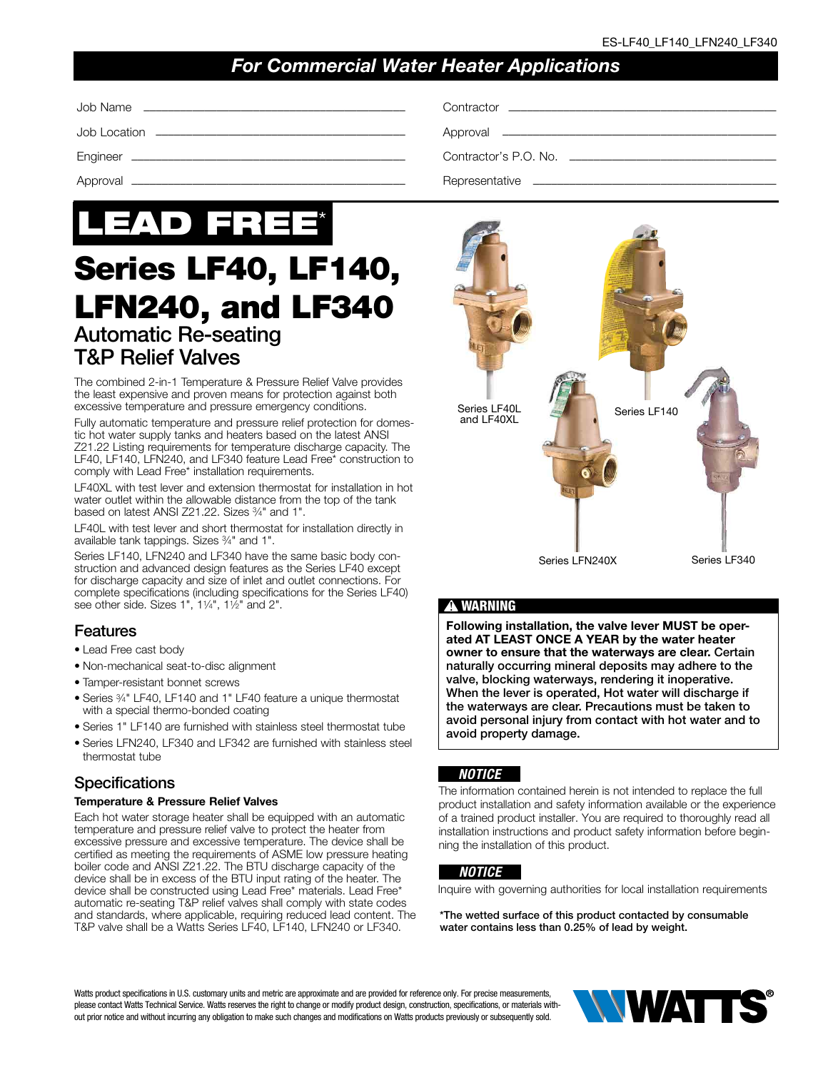# *For Commercial Water Heater Applications*

| Contractor's P.O. No. ___________________ |
|-------------------------------------------|
|                                           |



# Series LF40, LF140, LFN240, and LF340 Automatic Re-seating T&P Relief Valves

The combined 2-in-1 Temperature & Pressure Relief Valve provides the least expensive and proven means for protection against both excessive temperature and pressure emergency conditions.

Fully automatic temperature and pressure relief protection for domestic hot water supply tanks and heaters based on the latest ANSI Z21.22 Listing requirements for temperature discharge capacity. The LF40, LF140, LFN240, and LF340 feature Lead Free\* construction to comply with Lead Free\* installation requirements.

LF40XL with test lever and extension thermostat for installation in hot water outlet within the allowable distance from the top of the tank based on latest ANSI Z21.22. Sizes 3/4" and 1".

LF40L with test lever and short thermostat for installation directly in available tank tappings. Sizes 3⁄4" and 1".

Series LF140, LFN240 and LF340 have the same basic body construction and advanced design features as the Series LF40 except for discharge capacity and size of inlet and outlet connections. For complete specifications (including specifications for the Series LF40) see other side. Sizes 1", 11⁄4", 11⁄2" and 2".

### Features

- Lead Free cast body
- Non-mechanical seat-to-disc alignment
- Tamper-resistant bonnet screws
- Series 3⁄4" LF40, LF140 and 1" LF40 feature a unique thermostat with a special thermo-bonded coating
- Series 1" LF140 are furnished with stainless steel thermostat tube
- Series LFN240, LF340 and LF342 are furnished with stainless steel thermostat tube

### **Specifications**

#### Temperature & Pressure Relief Valves

Each hot water storage heater shall be equipped with an automatic temperature and pressure relief valve to protect the heater from excessive pressure and excessive temperature. The device shall be certified as meeting the requirements of ASME low pressure heating boiler code and ANSI Z21.22. The BTU discharge capacity of the device shall be in excess of the BTU input rating of the heater. The device shall be constructed using Lead Free\* materials. Lead Free\* automatic re-seating T&P relief valves shall comply with state codes and standards, where applicable, requiring reduced lead content. The T&P valve shall be a Watts Series LF40, LF140, LFN240 or LF340.



### **!** WARNING

Following installation, the valve lever MUST be operated AT LEAST ONCE A YEAR by the water heater owner to ensure that the waterways are clear. Certain naturally occurring mineral deposits may adhere to the valve, blocking waterways, rendering it inoperative. When the lever is operated, Hot water will discharge if the waterways are clear. Precautions must be taken to avoid personal injury from contact with hot water and to avoid property damage.

#### *NOTICE*

The information contained herein is not intended to replace the full product installation and safety information available or the experience of a trained product installer. You are required to thoroughly read all installation instructions and product safety information before beginning the installation of this product.

#### *NOTICE*

Inquire with governing authorities for local installation requirements

\*The wetted surface of this product contacted by consumable water contains less than 0.25% of lead by weight.

Watts product specifications in U.S. customary units and metric are approximate and are provided for reference only. For precise measurements, please contact Watts Technical Service. Watts reserves the right to change or modify product design, construction, specifications, or materials without prior notice and without incurring any obligation to make such changes and modifications on Watts products previously or subsequently sold.